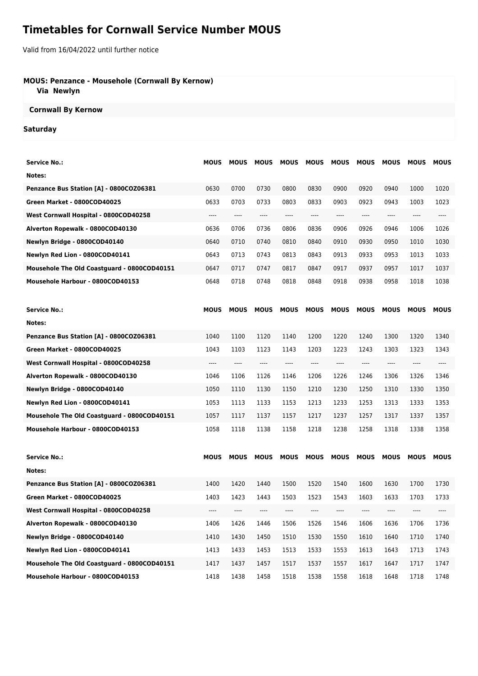# **Timetables for Cornwall Service Number MOUS**

Valid from 16/04/2022 until further notice

### **MOUS: Penzance - Mousehole (Cornwall By Kernow)**

 **Via Newlyn**

#### **Cornwall By Kernow**

#### **Saturday**

| <b>Service No.:</b>                         | <b>MOUS</b> | <b>MOUS</b> | <b>MOUS</b> | <b>MOUS</b>                   | <b>MOUS</b> | <b>MOUS</b> | <b>MOUS</b> | <b>MOUS</b>                   | <b>MOUS</b> | <b>MOUS</b> |
|---------------------------------------------|-------------|-------------|-------------|-------------------------------|-------------|-------------|-------------|-------------------------------|-------------|-------------|
| Notes:                                      |             |             |             |                               |             |             |             |                               |             |             |
| Penzance Bus Station [A] - 0800COZ06381     | 0630        | 0700        | 0730        | 0800                          | 0830        | 0900        | 0920        | 0940                          | 1000        | 1020        |
| Green Market - 0800COD40025                 | 0633        | 0703        | 0733        | 0803                          | 0833        | 0903        | 0923        | 0943                          | 1003        | 1023        |
| West Cornwall Hospital - 0800COD40258       | ----        | ----        | ----        | ----                          | ----        | ----        | $---$       | $---$                         | ----        | ----        |
| Alverton Ropewalk - 0800COD40130            | 0636        | 0706        | 0736        | 0806                          | 0836        | 0906        | 0926        | 0946                          | 1006        | 1026        |
| Newlyn Bridge - 0800COD40140                | 0640        | 0710        | 0740        | 0810                          | 0840        | 0910        | 0930        | 0950                          | 1010        | 1030        |
| Newlyn Red Lion - 0800COD40141              | 0643        | 0713        | 0743        | 0813                          | 0843        | 0913        | 0933        | 0953                          | 1013        | 1033        |
| Mousehole The Old Coastguard - 0800COD40151 | 0647        | 0717        | 0747        | 0817                          | 0847        | 0917        | 0937        | 0957                          | 1017        | 1037        |
| Mousehole Harbour - 0800COD40153            | 0648        | 0718        | 0748        | 0818                          | 0848        | 0918        | 0938        | 0958                          | 1018        | 1038        |
| <b>Service No.:</b>                         | <b>MOUS</b> | <b>MOUS</b> | <b>MOUS</b> | <b>MOUS</b>                   | <b>MOUS</b> | <b>MOUS</b> | <b>MOUS</b> | <b>MOUS</b>                   | <b>MOUS</b> | <b>MOUS</b> |
| Notes:                                      |             |             |             |                               |             |             |             |                               |             |             |
| Penzance Bus Station [A] - 0800COZ06381     | 1040        | 1100        | 1120        | 1140                          | 1200        | 1220        | 1240        | 1300                          | 1320        | 1340        |
| Green Market - 0800COD40025                 | 1043        | 1103        | 1123        | 1143                          | 1203        | 1223        | 1243        | 1303                          | 1323        | 1343        |
| West Cornwall Hospital - 0800COD40258       | ----        | ----        | ----        | $\hspace{1.5cm} \textbf{---}$ | $\cdots$    | $\cdots$    | $\cdots$    | $\hspace{1.5cm} \textbf{---}$ | ----        | ----        |
| Alverton Ropewalk - 0800COD40130            | 1046        | 1106        | 1126        | 1146                          | 1206        | 1226        | 1246        | 1306                          | 1326        | 1346        |
| Newlyn Bridge - 0800COD40140                | 1050        | 1110        | 1130        | 1150                          | 1210        | 1230        | 1250        | 1310                          | 1330        | 1350        |
| Newlyn Red Lion - 0800COD40141              | 1053        | 1113        | 1133        | 1153                          | 1213        | 1233        | 1253        | 1313                          | 1333        | 1353        |
| Mousehole The Old Coastguard - 0800COD40151 | 1057        | 1117        | 1137        | 1157                          | 1217        | 1237        | 1257        | 1317                          | 1337        | 1357        |
| Mousehole Harbour - 0800COD40153            | 1058        | 1118        | 1138        | 1158                          | 1218        | 1238        | 1258        | 1318                          | 1338        | 1358        |
| <b>Service No.:</b>                         | <b>MOUS</b> | <b>MOUS</b> | <b>MOUS</b> | <b>MOUS</b>                   | <b>MOUS</b> | <b>MOUS</b> | <b>MOUS</b> | <b>MOUS</b>                   | <b>MOUS</b> | <b>MOUS</b> |
| Notes:                                      |             |             |             |                               |             |             |             |                               |             |             |
| Penzance Bus Station [A] - 0800COZ06381     | 1400        | 1420        | 1440        | 1500                          | 1520        | 1540        | 1600        | 1630                          | 1700        | 1730        |
| Green Market - 0800COD40025                 | 1403        | 1423        | 1443        | 1503                          | 1523        | 1543        | 1603        | 1633                          | 1703        | 1733        |
| West Cornwall Hospital - 0800COD40258       | ----        |             | ----        | ----                          |             |             |             |                               |             | ----        |
| Alverton Ropewalk - 0800COD40130            | 1406        | 1426        | 1446        | 1506                          | 1526        | 1546        | 1606        | 1636                          | 1706        | 1736        |
| Newlyn Bridge - 0800COD40140                | 1410        | 1430        | 1450        | 1510                          | 1530        | 1550        | 1610        | 1640                          | 1710        | 1740        |
| Newlyn Red Lion - 0800COD40141              | 1413        | 1433        | 1453        | 1513                          | 1533        | 1553        | 1613        | 1643                          | 1713        | 1743        |
| Mousehole The Old Coastguard - 0800COD40151 | 1417        | 1437        | 1457        | 1517                          | 1537        | 1557        | 1617        | 1647                          | 1717        | 1747        |
| Mousehole Harbour - 0800COD40153            | 1418        | 1438        | 1458        | 1518                          | 1538        | 1558        | 1618        | 1648                          | 1718        | 1748        |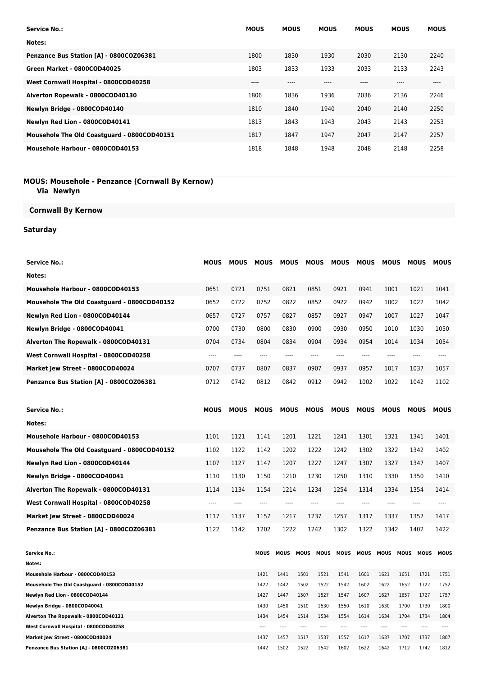| <b>Service No.:</b>                         | <b>MOUS</b> | <b>MOUS</b> | <b>MOUS</b> | <b>MOUS</b> | <b>MOUS</b> | <b>MOUS</b> |
|---------------------------------------------|-------------|-------------|-------------|-------------|-------------|-------------|
| Notes:                                      |             |             |             |             |             |             |
| Penzance Bus Station [A] - 0800COZ06381     | 1800        | 1830        | 1930        | 2030        | 2130        | 2240        |
| Green Market - 0800COD40025                 | 1803        | 1833        | 1933        | 2033        | 2133        | 2243        |
| West Cornwall Hospital - 0800COD40258       | $---$       | ----        |             | ----        | ----        | $-- -$      |
| Alverton Ropewalk - 0800COD40130            | 1806        | 1836        | 1936        | 2036        | 2136        | 2246        |
| Newlyn Bridge - 0800COD40140                | 1810        | 1840        | 1940        | 2040        | 2140        | 2250        |
| Newlyn Red Lion - 0800COD40141              | 1813        | 1843        | 1943        | 2043        | 2143        | 2253        |
| Mousehole The Old Coastguard - 0800COD40151 | 1817        | 1847        | 1947        | 2047        | 2147        | 2257        |
| Mousehole Harbour - 0800COD40153            | 1818        | 1848        | 1948        | 2048        | 2148        | 2258        |

#### **MOUS: Mousehole - Penzance (Cornwall By Kernow) Via Newlyn**

## **Cornwall By Kernow**

## **Saturday**

| <b>Service No.:</b>                         | <b>MOUS</b> | <b>MOUS</b> | <b>MOUS</b> | <b>MOUS</b> | <b>MOUS</b>         | <b>MOUS</b> | <b>MOUS</b> | <b>MOUS</b> | <b>MOUS</b>                | <b>MOUS</b> |
|---------------------------------------------|-------------|-------------|-------------|-------------|---------------------|-------------|-------------|-------------|----------------------------|-------------|
|                                             |             |             |             |             |                     |             |             |             |                            |             |
| Notes:                                      |             |             |             |             |                     |             |             |             |                            |             |
| Mousehole Harbour - 0800COD40153            | 0651        | 0721        | 0751        | 0821        | 0851                | 0921        | 0941        | 1001        | 1021                       | 1041        |
| Mousehole The Old Coastguard - 0800COD40152 | 0652        | 0722        | 0752        | 0822        | 0852                | 0922        | 0942        | 1002        | 1022                       | 1042        |
| Newlyn Red Lion - 0800COD40144              | 0657        | 0727        | 0757        | 0827        | 0857                | 0927        | 0947        | 1007        | 1027                       | 1047        |
| Newlyn Bridge - 0800COD40041                | 0700        | 0730        | 0800        | 0830        | 0900                | 0930        | 0950        | 1010        | 1030                       | 1050        |
| Alverton The Ropewalk - 0800COD40131        | 0704        | 0734        | 0804        | 0834        | 0904                | 0934        | 0954        | 1014        | 1034                       | 1054        |
| West Cornwall Hospital - 0800COD40258       | ----        | ----        | $---$       | $---$       | $---$               | ----        | ----        | ----        | ----                       | ----        |
| Market Jew Street - 0800COD40024            | 0707        | 0737        | 0807        | 0837        | 0907                | 0937        | 0957        | 1017        | 1037                       | 1057        |
| Penzance Bus Station [A] - 0800COZ06381     | 0712        | 0742        | 0812        | 0842        | 0912                | 0942        | 1002        | 1022        | 1042                       | 1102        |
| <b>Service No.:</b>                         | <b>MOUS</b> | <b>MOUS</b> | <b>MOUS</b> | <b>MOUS</b> | <b>MOUS</b>         | <b>MOUS</b> | <b>MOUS</b> | <b>MOUS</b> | <b>MOUS</b>                | <b>MOUS</b> |
| Notes:                                      |             |             |             |             |                     |             |             |             |                            |             |
| Mousehole Harbour - 0800COD40153            | 1101        | 1121        | 1141        | 1201        | 1221                | 1241        | 1301        | 1321        | 1341                       | 1401        |
| Mousehole The Old Coastguard - 0800COD40152 | 1102        | 1122        | 1142        | 1202        | 1222                | 1242        | 1302        | 1322        | 1342                       | 1402        |
| Newlyn Red Lion - 0800COD40144              | 1107        | 1127        | 1147        | 1207        | 1227                | 1247        | 1307        | 1327        | 1347                       | 1407        |
| Newlyn Bridge - 0800COD40041                | 1110        | 1130        | 1150        | 1210        | 1230                | 1250        | 1310        | 1330        | 1350                       | 1410        |
| Alverton The Ropewalk - 0800COD40131        | 1114        | 1134        | 1154        | 1214        | 1234                | 1254        | 1314        | 1334        | 1354                       | 1414        |
| West Cornwall Hospital - 0800COD40258       | ----        | ----        | $---$       | ----        | ----                | ----        | ----        | ----        | ----                       | $---$       |
| Market Jew Street - 0800COD40024            | 1117        | 1137        | 1157        | 1217        | 1237                | 1257        | 1317        | 1337        | 1357                       | 1417        |
| Penzance Bus Station [A] - 0800COZ06381     | 1122        | 1142        | 1202        | 1222        | 1242                | 1302        | 1322        | 1342        | 1402                       | 1422        |
| <b>Service No.:</b><br>Notes:               |             |             | MOUS        | <b>MOUS</b> | MOUS<br><b>MOUS</b> | MOUS        | MOUS        | <b>MOUS</b> | <b>MOUS</b><br><b>MOUS</b> | <b>MOUS</b> |

| Mousehole Harbour - 0800COD40153            | 1421 | 1441 | 1501 | 1521 | 1541 | 1601 | 1621 | 1651 | 1721 | 1751 |
|---------------------------------------------|------|------|------|------|------|------|------|------|------|------|
| Mousehole The Old Coastguard - 0800COD40152 | 1422 | 1442 | 1502 | 1522 | 1542 | 1602 | 1622 | 1652 | 1722 | 1752 |
| Newlyn Red Lion - 0800COD40144              | 1427 | 1447 | 1507 | 1527 | 1547 | 1607 | 1627 | 1657 | 1727 | 1757 |
| Newlyn Bridge - 0800COD40041                | 1430 | 1450 | 1510 | 1530 | 1550 | 1610 | 1630 | 1700 | 1730 | 1800 |
| Alverton The Ropewalk - 0800COD40131        | 1434 | 1454 | 1514 | 1534 | 1554 | 1614 | 1634 | 1704 | 1734 | 1804 |
| West Cornwall Hospital - 0800COD40258       | ---- |      |      |      |      |      |      |      |      |      |
| Market Jew Street - 0800COD40024            | 1437 | 1457 | 1517 | 1537 | 1557 | 1617 | 1637 | 1707 | 1737 | 1807 |
| Penzance Bus Station [A] - 0800COZ06381     | 1442 | 1502 | 1522 | 1542 | 1602 | 1622 | 1642 | 1712 | 1742 | 1812 |